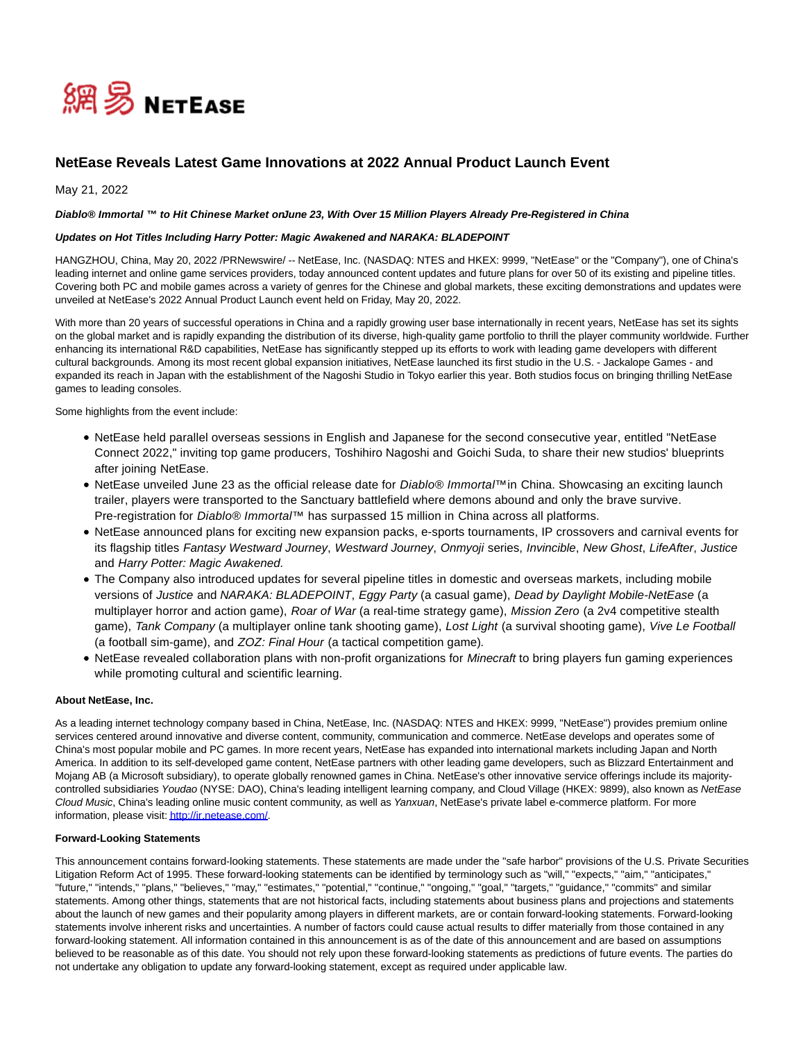

# **NetEase Reveals Latest Game Innovations at 2022 Annual Product Launch Event**

May 21, 2022

### Diablo® Immortal <sup>™</sup> to Hit Chinese Market onJune 23, With Over 15 Million Players Already Pre-Registered in China

## **Updates on Hot Titles Including Harry Potter: Magic Awakened and NARAKA: BLADEPOINT**

HANGZHOU, China, May 20, 2022 /PRNewswire/ -- NetEase, Inc. (NASDAQ: NTES and HKEX: 9999, "NetEase" or the "Company"), one of China's leading internet and online game services providers, today announced content updates and future plans for over 50 of its existing and pipeline titles. Covering both PC and mobile games across a variety of genres for the Chinese and global markets, these exciting demonstrations and updates were unveiled at NetEase's 2022 Annual Product Launch event held on Friday, May 20, 2022.

With more than 20 years of successful operations in China and a rapidly growing user base internationally in recent years, NetEase has set its sights on the global market and is rapidly expanding the distribution of its diverse, high-quality game portfolio to thrill the player community worldwide. Further enhancing its international R&D capabilities, NetEase has significantly stepped up its efforts to work with leading game developers with different cultural backgrounds. Among its most recent global expansion initiatives, NetEase launched its first studio in the U.S. - Jackalope Games - and expanded its reach in Japan with the establishment of the Nagoshi Studio in Tokyo earlier this year. Both studios focus on bringing thrilling NetEase games to leading consoles.

Some highlights from the event include:

- NetEase held parallel overseas sessions in English and Japanese for the second consecutive year, entitled "NetEase Connect 2022," inviting top game producers, Toshihiro Nagoshi and Goichi Suda, to share their new studios' blueprints after joining NetEase.
- NetEase unveiled June 23 as the official release date for Diablo® Immortal™in China. Showcasing an exciting launch trailer, players were transported to the Sanctuary battlefield where demons abound and only the brave survive. Pre-registration for *Diablo® Immortal™* has surpassed 15 million in China across all platforms.
- NetEase announced plans for exciting new expansion packs, e-sports tournaments, IP crossovers and carnival events for its flagship titles Fantasy Westward Journey, Westward Journey, Onmyoji series, Invincible, New Ghost, LifeAfter, Justice and Harry Potter: Magic Awakened.
- The Company also introduced updates for several pipeline titles in domestic and overseas markets, including mobile versions of Justice and NARAKA: BLADEPOINT, Eggy Party (a casual game), Dead by Daylight Mobile-NetEase (a multiplayer horror and action game), Roar of War (a real-time strategy game), Mission Zero (a 2v4 competitive stealth game), Tank Company (a multiplayer online tank shooting game), Lost Light (a survival shooting game), Vive Le Football (a football sim-game), and ZOZ: Final Hour (a tactical competition game).
- NetEase revealed collaboration plans with non-profit organizations for Minecraft to bring players fun gaming experiences while promoting cultural and scientific learning.

## **About NetEase, Inc.**

As a leading internet technology company based in China, NetEase, Inc. (NASDAQ: NTES and HKEX: 9999, "NetEase") provides premium online services centered around innovative and diverse content, community, communication and commerce. NetEase develops and operates some of China's most popular mobile and PC games. In more recent years, NetEase has expanded into international markets including Japan and North America. In addition to its self-developed game content, NetEase partners with other leading game developers, such as Blizzard Entertainment and Mojang AB (a Microsoft subsidiary), to operate globally renowned games in China. NetEase's other innovative service offerings include its majoritycontrolled subsidiaries Youdao (NYSE: DAO), China's leading intelligent learning company, and Cloud Village (HKEX: 9899), also known as NetEase Cloud Music, China's leading online music content community, as well as Yanxuan, NetEase's private label e-commerce platform. For more information, please visit[: http://ir.netease.com/.](http://ir.netease.com/)

#### **Forward-Looking Statements**

This announcement contains forward-looking statements. These statements are made under the "safe harbor" provisions of the U.S. Private Securities Litigation Reform Act of 1995. These forward-looking statements can be identified by terminology such as "will," "expects," "aim," "anticipates," "future," "intends," "plans," "believes," "may," "estimates," "potential," "continue," "ongoing," "goal," "targets," "guidance," "commits" and similar statements. Among other things, statements that are not historical facts, including statements about business plans and projections and statements about the launch of new games and their popularity among players in different markets, are or contain forward-looking statements. Forward-looking statements involve inherent risks and uncertainties. A number of factors could cause actual results to differ materially from those contained in any forward-looking statement. All information contained in this announcement is as of the date of this announcement and are based on assumptions believed to be reasonable as of this date. You should not rely upon these forward-looking statements as predictions of future events. The parties do not undertake any obligation to update any forward-looking statement, except as required under applicable law.